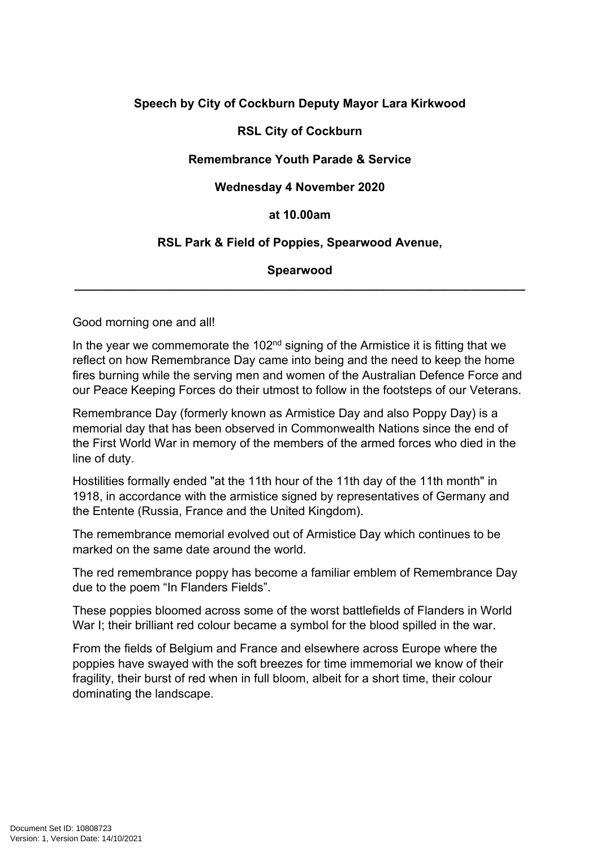# **Speech by City of Cockburn Deputy Mayor Lara Kirkwood**

# **RSL City of Cockburn**

# **Remembrance Youth Parade & Service**

### **Wednesday 4 November 2020**

### **at 10.00am**

# **RSL Park & Field of Poppies, Spearwood Avenue,**

#### **Spearwood \_\_\_\_\_\_\_\_\_\_\_\_\_\_\_\_\_\_\_\_\_\_\_\_\_\_\_\_\_\_\_\_\_\_\_\_\_\_\_\_\_\_\_\_\_\_\_\_\_\_\_\_\_\_\_\_\_\_\_\_\_\_\_\_\_\_\_**

Good morning one and all!

In the year we commemorate the  $102<sup>nd</sup>$  signing of the Armistice it is fitting that we reflect on how Remembrance Day came into being and the need to keep the home fires burning while the serving men and women of the Australian Defence Force and our Peace Keeping Forces do their utmost to follow in the footsteps of our Veterans.

Remembrance Day (formerly known as Armistice Day and also Poppy Day) is a memorial day that has been observed in Commonwealth Nations since the end of the First World War in memory of the members of the armed forces who died in the line of duty.

Hostilities formally ended "at the 11th hour of the 11th day of the 11th month" in 1918, in accordance with the armistice signed by representatives of Germany and the Entente (Russia, France and the United Kingdom).

The remembrance memorial evolved out of Armistice Day which continues to be marked on the same date around the world.

The red remembrance poppy has become a familiar emblem of Remembrance Day due to the poem "In Flanders Fields".

These poppies bloomed across some of the worst battlefields of Flanders in World War I; their brilliant red colour became a symbol for the blood spilled in the war.

From the fields of Belgium and France and elsewhere across Europe where the poppies have swayed with the soft breezes for time immemorial we know of their fragility, their burst of red when in full bloom, albeit for a short time, their colour dominating the landscape.